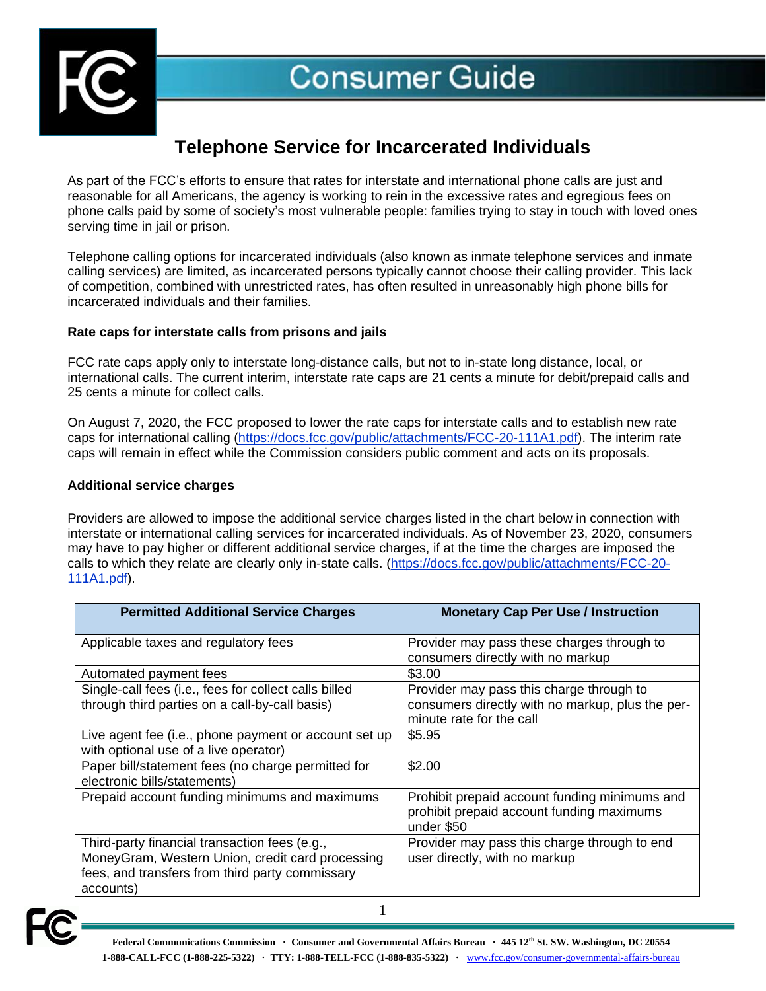

# **Telephone Service for Incarcerated Individuals**

As part of the FCC's efforts to ensure that rates for interstate and international phone calls are just and reasonable for all Americans, the agency is working to rein in the excessive rates and egregious fees on phone calls paid by some of society's most vulnerable people: families trying to stay in touch with loved ones serving time in jail or prison.

Telephone calling options for incarcerated individuals (also known as inmate telephone services and inmate calling services) are limited, as incarcerated persons typically cannot choose their calling provider. This lack of competition, combined with unrestricted rates, has often resulted in unreasonably high phone bills for incarcerated individuals and their families.

## **Rate caps for interstate calls from prisons and jails**

FCC rate caps apply only to interstate long-distance calls, but not to in-state long distance, local, or international calls. The current interim, interstate rate caps are 21 cents a minute for debit/prepaid calls and 25 cents a minute for collect calls.

On August 7, 2020, the FCC proposed to lower the rate caps for interstate calls and to establish new rate caps for international calling [\(https://docs.fcc.gov/public/attachments/FCC-20-111A1.pdf\)](https://docs.fcc.gov/public/attachments/FCC-20-111A1.pdf). The interim rate caps will remain in effect while the Commission considers public comment and acts on its proposals.

## **Additional service charges**

Providers are allowed to impose the additional service charges listed in the chart below in connection with interstate or international calling services for incarcerated individuals. As of November 23, 2020, consumers may have to pay higher or different additional service charges, if at the time the charges are imposed the calls to which they relate are clearly only in-state calls. [\(https://docs.fcc.gov/public/attachments/FCC-20-](https://docs.fcc.gov/public/attachments/FCC-20-111A1.pdf) [111A1.pdf\)](https://docs.fcc.gov/public/attachments/FCC-20-111A1.pdf).

| <b>Permitted Additional Service Charges</b>                                                                                                                       | <b>Monetary Cap Per Use / Instruction</b>                                                                                |
|-------------------------------------------------------------------------------------------------------------------------------------------------------------------|--------------------------------------------------------------------------------------------------------------------------|
| Applicable taxes and regulatory fees                                                                                                                              | Provider may pass these charges through to<br>consumers directly with no markup                                          |
| Automated payment fees                                                                                                                                            | \$3.00                                                                                                                   |
| Single-call fees (i.e., fees for collect calls billed<br>through third parties on a call-by-call basis)                                                           | Provider may pass this charge through to<br>consumers directly with no markup, plus the per-<br>minute rate for the call |
| Live agent fee (i.e., phone payment or account set up<br>with optional use of a live operator)                                                                    | \$5.95                                                                                                                   |
| Paper bill/statement fees (no charge permitted for<br>electronic bills/statements)                                                                                | \$2.00                                                                                                                   |
| Prepaid account funding minimums and maximums                                                                                                                     | Prohibit prepaid account funding minimums and<br>prohibit prepaid account funding maximums<br>under \$50                 |
| Third-party financial transaction fees (e.g.,<br>MoneyGram, Western Union, credit card processing<br>fees, and transfers from third party commissary<br>accounts) | Provider may pass this charge through to end<br>user directly, with no markup                                            |